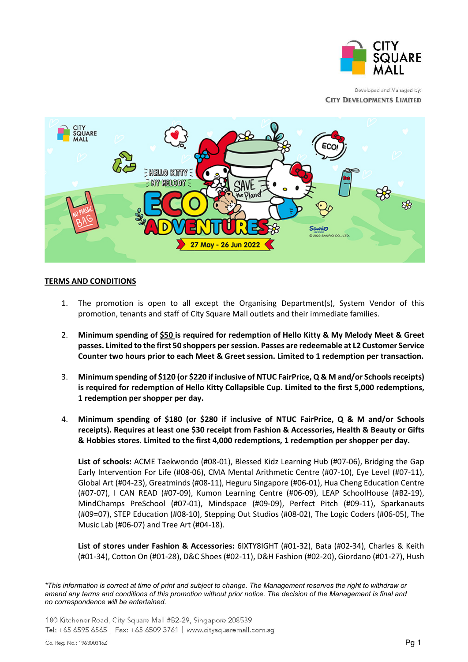

Developed and Managed by: **CITY DEVELOPMENTS LIMITED** 



## **TERMS AND CONDITIONS**

- 1. The promotion is open to all except the Organising Department(s), System Vendor of this promotion, tenants and staff of City Square Mall outlets and their immediate families.
- 2. **Minimum spending of \$50 is required for redemption of Hello Kitty & My Melody Meet & Greet passes. Limited to the first 50 shoppers per session. Passes are redeemable at L2 Customer Service Counter two hours prior to each Meet & Greet session. Limited to 1 redemption per transaction.**
- 3. **Minimum spending of \$120 (or \$220 if inclusive of NTUC FairPrice, Q & M and/or Schools receipts) is required for redemption of Hello Kitty Collapsible Cup. Limited to the first 5,000 redemptions, 1 redemption per shopper per day.**
- 4. **Minimum spending of \$180 (or \$280 if inclusive of NTUC FairPrice, Q & M and/or Schools receipts). Requires at least one \$30 receipt from Fashion & Accessories, Health & Beauty or Gifts & Hobbies stores. Limited to the first 4,000 redemptions, 1 redemption per shopper per day.**

**List of schools:** ACME Taekwondo (#08-01), Blessed Kidz Learning Hub (#07-06), Bridging the Gap Early Intervention For Life (#08-06), CMA Mental Arithmetic Centre (#07-10), Eye Level (#07-11), Global Art (#04-23), Greatminds (#08-11), Heguru Singapore (#06-01), Hua Cheng Education Centre (#07-07), I CAN READ (#07-09), Kumon Learning Centre (#06-09), LEAP SchoolHouse (#B2-19), MindChamps PreSchool (#07-01), Mindspace (#09-09), Perfect Pitch (#09-11), Sparkanauts (#09=07), STEP Education (#08-10), Stepping Out Studios (#08-02), The Logic Coders (#06-05), The Music Lab (#06-07) and Tree Art (#04-18).

**List of stores under Fashion & Accessories:** 6IXTY8IGHT (#01-32), Bata (#02-34), Charles & Keith (#01-34), Cotton On (#01-28), D&C Shoes (#02-11), D&H Fashion (#02-20), Giordano (#01-27), Hush

*\*This information is correct at time of print and subject to change. The Management reserves the right to withdraw or amend any terms and conditions of this promotion without prior notice. The decision of the Management is final and no correspondence will be entertained.*

180 Kitchener Road, City Square Mall #B2-29, Singapore 208539 Tel: +65 6595 6565 | Fax: +65 6509 3761 | www.citysquaremall.com.sq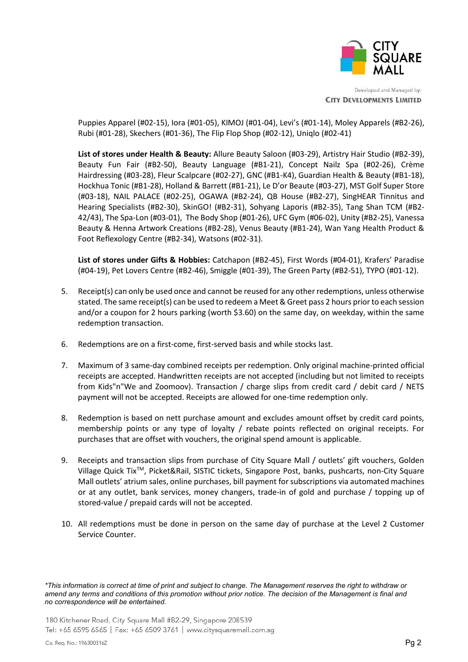

Developed and Managed by: **CITY DEVELOPMENTS LIMITED** 

Puppies Apparel (#02-15), Iora (#01-05), KIMOJ (#01-04), Levi's (#01-14), Moley Apparels (#B2-26), Rubi (#01-28), Skechers (#01-36), The Flip Flop Shop (#02-12), Uniqlo (#02-41)

**List of stores under Health & Beauty:** Allure Beauty Saloon (#03-29), Artistry Hair Studio (#B2-39), Beauty Fun Fair (#B2-50), Beauty Language (#B1-21), Concept Nailz Spa (#02-26), Crème Hairdressing (#03-28), Fleur Scalpcare (#02-27), GNC (#B1-K4), Guardian Health & Beauty (#B1-18), Hockhua Tonic (#B1-28), Holland & Barrett (#B1-21), Le D'or Beaute (#03-27), MST Golf Super Store (#03-18), NAIL PALACE (#02-25), OGAWA (#B2-24), QB House (#B2-27), SingHEAR Tinnitus and Hearing Specialists (#B2-30), SkinGO! (#B2-31), Sohyang Laporis (#B2-35), Tang Shan TCM (#B2- 42/43), The Spa-Lon (#03-01), The Body Shop (#01-26), UFC Gym (#06-02), Unity (#B2-25), Vanessa Beauty & Henna Artwork Creations (#B2-28), Venus Beauty (#B1-24), Wan Yang Health Product & Foot Reflexology Centre (#B2-34), Watsons (#02-31).

**List of stores under Gifts & Hobbies:** Catchapon (#B2-45), First Words (#04-01), Krafers' Paradise (#04-19), Pet Lovers Centre (#B2-46), Smiggle (#01-39), The Green Party (#B2-51), TYPO (#01-12).

- 5. Receipt(s) can only be used once and cannot be reused for any other redemptions, unless otherwise stated. The same receipt(s) can be used to redeem a Meet & Greet pass 2 hours prior to each session and/or a coupon for 2 hours parking (worth \$3.60) on the same day, on weekday, within the same redemption transaction.
- 6. Redemptions are on a first-come, first-served basis and while stocks last.
- 7. Maximum of 3 same-day combined receipts per redemption. Only original machine-printed official receipts are accepted. Handwritten receipts are not accepted (including but not limited to receipts from Kids"n"We and Zoomoov). Transaction / charge slips from credit card / debit card / NETS payment will not be accepted. Receipts are allowed for one-time redemption only.
- 8. Redemption is based on nett purchase amount and excludes amount offset by credit card points, membership points or any type of loyalty / rebate points reflected on original receipts. For purchases that are offset with vouchers, the original spend amount is applicable.
- 9. Receipts and transaction slips from purchase of City Square Mall / outlets' gift vouchers, Golden Village Quick Tix<sup>™</sup>, Picket&Rail, SISTIC tickets, Singapore Post, banks, pushcarts, non-City Square Mall outlets' atrium sales, online purchases, bill payment for subscriptions via automated machines or at any outlet, bank services, money changers, trade-in of gold and purchase / topping up of stored-value / prepaid cards will not be accepted.
- 10. All redemptions must be done in person on the same day of purchase at the Level 2 Customer Service Counter.

*<sup>\*</sup>This information is correct at time of print and subject to change. The Management reserves the right to withdraw or amend any terms and conditions of this promotion without prior notice. The decision of the Management is final and no correspondence will be entertained.*